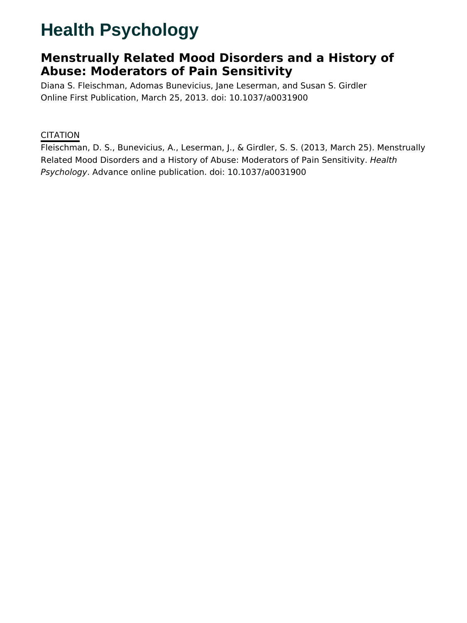# **Health Psychology**

# **Menstrually Related Mood Disorders and a History of Abuse: Moderators of Pain Sensitivity**

Diana S. Fleischman, Adomas Bunevicius, Jane Leserman, and Susan S. Girdler Online First Publication, March 25, 2013. doi: 10.1037/a0031900

### **CITATION**

Fleischman, D. S., Bunevicius, A., Leserman, J., & Girdler, S. S. (2013, March 25). Menstrually Related Mood Disorders and a History of Abuse: Moderators of Pain Sensitivity. Health Psychology. Advance online publication. doi: 10.1037/a0031900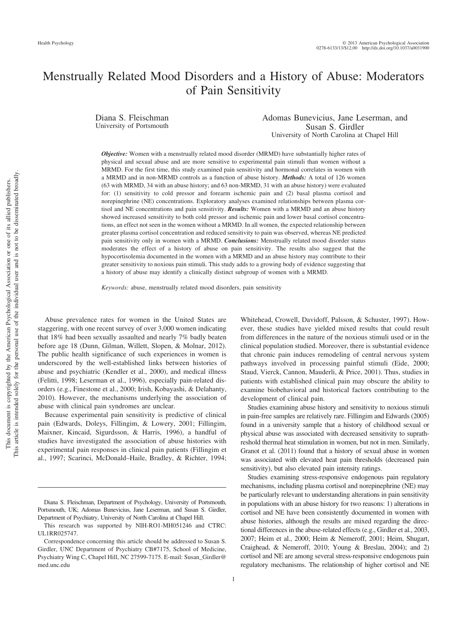## Menstrually Related Mood Disorders and a History of Abuse: Moderators of Pain Sensitivity

Diana S. Fleischman University of Portsmouth Adomas Bunevicius, Jane Leserman, and Susan S. Girdler University of North Carolina at Chapel Hill

*Objective:* Women with a menstrually related mood disorder (MRMD) have substantially higher rates of physical and sexual abuse and are more sensitive to experimental pain stimuli than women without a MRMD. For the first time, this study examined pain sensitivity and hormonal correlates in women with a MRMD and in non-MRMD controls as a function of abuse history. *Methods:* A total of 126 women (63 with MRMD, 34 with an abuse history; and 63 non-MRMD, 31 with an abuse history) were evaluated for: (1) sensitivity to cold pressor and forearm ischemic pain and (2) basal plasma cortisol and norepinephrine (NE) concentrations. Exploratory analyses examined relationships between plasma cortisol and NE concentrations and pain sensitivity. *Results:* Women with a MRMD and an abuse history showed increased sensitivity to both cold pressor and ischemic pain and lower basal cortisol concentrations, an effect not seen in the women without a MRMD. In all women, the expected relationship between greater plasma cortisol concentration and reduced sensitivity to pain was observed, whereas NE predicted pain sensitivity only in women with a MRMD. *Conclusions:* Menstrually related mood disorder status moderates the effect of a history of abuse on pain sensitivity. The results also suggest that the hypocortisolemia documented in the women with a MRMD and an abuse history may contribute to their greater sensitivity to noxious pain stimuli. This study adds to a growing body of evidence suggesting that a history of abuse may identify a clinically distinct subgroup of women with a MRMD.

*Keywords:* abuse, menstrually related mood disorders, pain sensitivity

Abuse prevalence rates for women in the United States are staggering, with one recent survey of over 3,000 women indicating that 18% had been sexually assaulted and nearly 7% badly beaten before age 18 (Dunn, Gilman, Willett, Slopen, & Molnar, 2012). The public health significance of such experiences in women is underscored by the well-established links between histories of abuse and psychiatric (Kendler et al., 2000), and medical illness (Felitti, 1998; Leserman et al., 1996), especially pain-related disorders (e.g., Finestone et al., 2000; Irish, Kobayashi, & Delahanty, 2010). However, the mechanisms underlying the association of abuse with clinical pain syndromes are unclear.

Because experimental pain sensitivity is predictive of clinical pain (Edwards, Doleys, Fillingim, & Lowery, 2001; Fillingim, Maixner, Kincaid, Sigurdsson, & Harris, 1996), a handful of studies have investigated the association of abuse histories with experimental pain responses in clinical pain patients (Fillingim et al., 1997; Scarinci, McDonald–Haile, Bradley, & Richter, 1994;

1

Whitehead, Crowell, Davidoff, Palsson, & Schuster, 1997). However, these studies have yielded mixed results that could result from differences in the nature of the noxious stimuli used or in the clinical population studied. Moreover, there is substantial evidence that chronic pain induces remodeling of central nervous system pathways involved in processing painful stimuli (Eide, 2000; Staud, Vierck, Cannon, Mauderli, & Price, 2001). Thus, studies in patients with established clinical pain may obscure the ability to examine biobehavioral and historical factors contributing to the development of clinical pain.

Studies examining abuse history and sensitivity to noxious stimuli in pain-free samples are relatively rare. Fillingim and Edwards (2005) found in a university sample that a history of childhood sexual or physical abuse was associated with decreased sensitivity to suprathreshold thermal heat stimulation in women, but not in men. Similarly, Granot et al. (2011) found that a history of sexual abuse in women was associated with elevated heat pain thresholds (decreased pain sensitivity), but also elevated pain intensity ratings.

Studies examining stress-responsive endogenous pain regulatory mechanisms, including plasma cortisol and norepinephrine (NE) may be particularly relevant to understanding alterations in pain sensitivity in populations with an abuse history for two reasons: 1) alterations in cortisol and NE have been consistently documented in women with abuse histories, although the results are mixed regarding the directional differences in the abuse-related effects (e.g., Girdler et al., 2003, 2007; Heim et al., 2000; Heim & Nemeroff, 2001; Heim, Shugart, Craighead, & Nemeroff, 2010; Young & Breslau, 2004); and 2) cortisol and NE are among several stress-responsive endogenous pain regulatory mechanisms. The relationship of higher cortisol and NE

Diana S. Fleischman, Department of Psychology, University of Portsmouth, Portsmouth, UK; Adomas Bunevicius, Jane Leserman, and Susan S. Girdler, Department of Psychiatry, University of North Carolina at Chapel Hill.

This research was supported by NIH-RO1-MH051246 and CTRC: UL1RR025747.

Correspondence concerning this article should be addressed to Susan S. Girdler, UNC Department of Psychiatry CB#7175, School of Medicine, Psychiatry Wing C, Chapel Hill, NC 27599-7175. E-mail: Susan\_Girdler@ med.unc.edu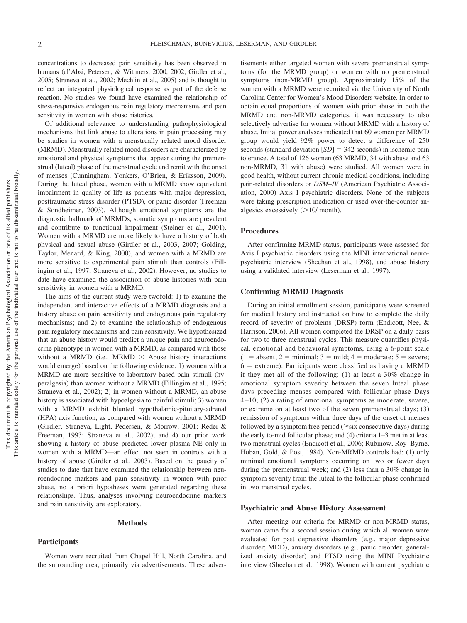concentrations to decreased pain sensitivity has been observed in humans (al'Absi, Petersen, & Wittmers, 2000, 2002; Girdler et al., 2005; Straneva et al., 2002; Mechlin et al., 2005) and is thought to reflect an integrated physiological response as part of the defense reaction. No studies we found have examined the relationship of stress-responsive endogenous pain regulatory mechanisms and pain sensitivity in women with abuse histories.

Of additional relevance to understanding pathophysiological mechanisms that link abuse to alterations in pain processing may be studies in women with a menstrually related mood disorder (MRMD). Menstrually related mood disorders are characterized by emotional and physical symptoms that appear during the premenstrual (luteal) phase of the menstrual cycle and remit with the onset of menses (Cunningham, Yonkers, O'Brien, & Eriksson, 2009). During the luteal phase, women with a MRMD show equivalent impairment in quality of life as patients with major depression, posttraumatic stress disorder (PTSD), or panic disorder (Freeman & Sondheimer, 2003). Although emotional symptoms are the diagnostic hallmark of MRMDs, somatic symptoms are prevalent and contribute to functional impairment (Steiner et al., 2001). Women with a MRMD are more likely to have a history of both physical and sexual abuse (Girdler et al., 2003, 2007; Golding, Taylor, Menard, & King, 2000), and women with a MRMD are more sensitive to experimental pain stimuli than controls (Fillingim et al., 1997; Straneva et al., 2002). However, no studies to date have examined the association of abuse histories with pain sensitivity in women with a MRMD.

The aims of the current study were twofold: 1) to examine the independent and interactive effects of a MRMD diagnosis and a history abuse on pain sensitivity and endogenous pain regulatory mechanisms; and 2) to examine the relationship of endogenous pain regulatory mechanisms and pain sensitivity. We hypothesized that an abuse history would predict a unique pain and neuroendocrine phenotype in women with a MRMD, as compared with those without a MRMD (i.e., MRMD  $\times$  Abuse history interactions would emerge) based on the following evidence: 1) women with a MRMD are more sensitive to laboratory-based pain stimuli (hyperalgesia) than women without a MRMD (Fillingim et al., 1995; Straneva et al., 2002); 2) in women without a MRMD, an abuse history is associated with hypoalgesia to painful stimuli; 3) women with a MRMD exhibit blunted hypothalamic-pituitary-adrenal (HPA) axis function, as compared with women without a MRMD (Girdler, Straneva, Light, Pedersen, & Morrow, 2001; Redei & Freeman, 1993; Straneva et al., 2002); and 4) our prior work showing a history of abuse predicted lower plasma NE only in women with a MRMD—an effect not seen in controls with a history of abuse (Girdler et al., 2003). Based on the paucity of studies to date that have examined the relationship between neuroendocrine markers and pain sensitivity in women with prior abuse, no a priori hypotheses were generated regarding these relationships. Thus, analyses involving neuroendocrine markers and pain sensitivity are exploratory.

#### **Methods**

#### **Participants**

Women were recruited from Chapel Hill, North Carolina, and the surrounding area, primarily via advertisements. These adver-

tisements either targeted women with severe premenstrual symptoms (for the MRMD group) or women with no premenstrual symptoms (non-MRMD group). Approximately 15% of the women with a MRMD were recruited via the University of North Carolina Center for Women's Mood Disorders website. In order to obtain equal proportions of women with prior abuse in both the MRMD and non-MRMD categories, it was necessary to also selectively advertise for women without MRMD with a history of abuse. Initial power analyses indicated that 60 women per MRMD group would yield 92% power to detect a difference of 250 seconds (standard deviation [*SD*] = 342 seconds) in ischemic pain tolerance. A total of 126 women (63 MRMD, 34 with abuse and 63 non-MRMD, 31 with abuse) were studied. All women were in good health, without current chronic medical conditions, including pain-related disorders or *DSM–IV* (American Psychiatric Association, 2000) Axis I psychiatric disorders. None of the subjects were taking prescription medication or used over-the-counter analgesics excessively  $(>10/$  month).

#### **Procedures**

After confirming MRMD status, participants were assessed for Axis I psychiatric disorders using the MINI international neuropsychiatric interview (Sheehan et al., 1998), and abuse history using a validated interview (Leserman et al., 1997).

#### **Confirming MRMD Diagnosis**

During an initial enrollment session, participants were screened for medical history and instructed on how to complete the daily record of severity of problems (DRSP) form (Endicott, Nee, & Harrison, 2006). All women completed the DRSP on a daily basis for two to three menstrual cycles. This measure quantifies physical, emotional and behavioral symptoms, using a 6-point scale  $(1 = \text{absent}; 2 = \text{minimal}; 3 = \text{mild}; 4 = \text{moderate}; 5 = \text{severe};$  $6$  = extreme). Participants were classified as having a MRMD if they met all of the following: (1) at least a 30% change in emotional symptom severity between the seven luteal phase days preceding menses compared with follicular phase Days 4 –10; (2) a rating of emotional symptoms as moderate, severe, or extreme on at least two of the seven premenstrual days; (3) remission of symptoms within three days of the onset of menses followed by a symptom free period  $(\geq$ six consecutive days) during the early to-mid follicular phase; and (4) criteria 1–3 met in at least two menstrual cycles (Endicott et al., 2006; Rubinow, Roy–Byrne, Hoban, Gold, & Post, 1984). Non-MRMD controls had: (1) only minimal emotional symptoms occurring on two or fewer days during the premenstrual week; and (2) less than a 30% change in symptom severity from the luteal to the follicular phase confirmed in two menstrual cycles.

#### **Psychiatric and Abuse History Assessment**

After meeting our criteria for MRMD or non-MRMD status, women came for a second session during which all women were evaluated for past depressive disorders (e.g., major depressive disorder; MDD), anxiety disorders (e.g., panic disorder, generalized anxiety disorder) and PTSD using the MINI Psychiatric interview (Sheehan et al., 1998). Women with current psychiatric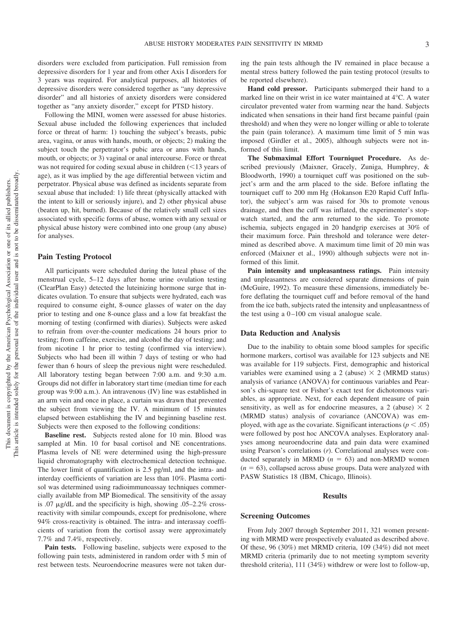disorders were excluded from participation. Full remission from depressive disorders for 1 year and from other Axis I disorders for 3 years was required. For analytical purposes, all histories of depressive disorders were considered together as "any depressive disorder" and all histories of anxiety disorders were considered together as "any anxiety disorder," except for PTSD history.

Following the MINI, women were assessed for abuse histories. Sexual abuse included the following experiences that included force or threat of harm: 1) touching the subject's breasts, pubic area, vagina, or anus with hands, mouth, or objects; 2) making the subject touch the perpetrator's pubic area or anus with hands, mouth, or objects; or 3) vaginal or anal intercourse. Force or threat was not required for coding sexual abuse in children  $(13 \text{ years of})$ age), as it was implied by the age differential between victim and perpetrator. Physical abuse was defined as incidents separate from sexual abuse that included: 1) life threat (physically attacked with the intent to kill or seriously injure), and 2) other physical abuse (beaten up, hit, burned). Because of the relatively small cell sizes associated with specific forms of abuse, women with any sexual or physical abuse history were combined into one group (any abuse) for analyses.

#### **Pain Testing Protocol**

All participants were scheduled during the luteal phase of the menstrual cycle, 5–12 days after home urine ovulation testing (ClearPlan Easy) detected the luteinizing hormone surge that indicates ovulation. To ensure that subjects were hydrated, each was required to consume eight, 8-ounce glasses of water on the day prior to testing and one 8-ounce glass and a low fat breakfast the morning of testing (confirmed with diaries). Subjects were asked to refrain from over-the-counter medications 24 hours prior to testing; from caffeine, exercise, and alcohol the day of testing; and from nicotine 1 hr prior to testing (confirmed via interview). Subjects who had been ill within 7 days of testing or who had fewer than 6 hours of sleep the previous night were rescheduled. All laboratory testing began between 7:00 a.m. and 9:30 a.m. Groups did not differ in laboratory start time (median time for each group was 9:00 a.m.). An intravenous (IV) line was established in an arm vein and once in place, a curtain was drawn that prevented the subject from viewing the IV. A minimum of 15 minutes elapsed between establishing the IV and beginning baseline rest. Subjects were then exposed to the following conditions:

**Baseline rest.** Subjects rested alone for 10 min. Blood was sampled at Min. 10 for basal cortisol and NE concentrations. Plasma levels of NE were determined using the high-pressure liquid chromatography with electrochemical detection technique. The lower limit of quantification is 2.5 pg/ml, and the intra- and interday coefficients of variation are less than 10%. Plasma cortisol was determined using radioimmunoassay techniques commercially available from MP Biomedical. The sensitivity of the assay is .07  $\mu$ g/dL and the specificity is high, showing .05–2.2% crossreactivity with similar compounds, except for prednisolone, where 94% cross-reactivity is obtained. The intra- and interassay coefficients of variation from the cortisol assay were approximately 7.7% and 7.4%, respectively.

**Pain tests.** Following baseline, subjects were exposed to the following pain tests, administered in random order with 5 min of rest between tests. Neuroendocrine measures were not taken dur-

ing the pain tests although the IV remained in place because a mental stress battery followed the pain testing protocol (results to be reported elsewhere).

**Hand cold pressor.** Participants submerged their hand to a marked line on their wrist in ice water maintained at 4°C. A water circulator prevented water from warming near the hand. Subjects indicated when sensations in their hand first became painful (pain threshold) and when they were no longer willing or able to tolerate the pain (pain tolerance). A maximum time limit of 5 min was imposed (Girdler et al., 2005), although subjects were not informed of this limit.

**The Submaximal Effort Tourniquet Procedure.** As described previously (Maixner, Gracely, Zuniga, Humphrey, & Bloodworth, 1990) a tourniquet cuff was positioned on the subject's arm and the arm placed to the side. Before inflating the tourniquet cuff to 200 mm Hg (Hokanson E20 Rapid Cuff Inflator), the subject's arm was raised for 30s to promote venous drainage, and then the cuff was inflated, the experimenter's stopwatch started, and the arm returned to the side. To promote ischemia, subjects engaged in 20 handgrip exercises at 30% of their maximum force. Pain threshold and tolerance were determined as described above. A maximum time limit of 20 min was enforced (Maixner et al., 1990) although subjects were not informed of this limit.

**Pain intensity and unpleasantness ratings.** Pain intensity and unpleasantness are considered separate dimensions of pain (McGuire, 1992). To measure these dimensions, immediately before deflating the tourniquet cuff and before removal of the hand from the ice bath, subjects rated the intensity and unpleasantness of the test using a  $0-100$  cm visual analogue scale.

#### **Data Reduction and Analysis**

Due to the inability to obtain some blood samples for specific hormone markers, cortisol was available for 123 subjects and NE was available for 119 subjects. First, demographic and historical variables were examined using a 2 (abuse)  $\times$  2 (MRMD status) analysis of variance (ANOVA) for continuous variables and Pearson's chi-square test or Fisher's exact test for dichotomous variables, as appropriate. Next, for each dependent measure of pain sensitivity, as well as for endocrine measures, a 2 (abuse)  $\times$  2 (MRMD status) analysis of covariance (ANCOVA) was employed, with age as the covariate. Significant interactions ( $p < .05$ ) were followed by post hoc ANCOVA analyses. Exploratory analyses among neuroendocrine data and pain data were examined using Pearson's correlations (*r*). Correlational analyses were conducted separately in MRMD  $(n = 63)$  and non-MRMD women  $(n = 63)$ , collapsed across abuse groups. Data were analyzed with PASW Statistics 18 (IBM, Chicago, Illinois).

#### **Results**

#### **Screening Outcomes**

From July 2007 through September 2011, 321 women presenting with MRMD were prospectively evaluated as described above. Of these, 96 (30%) met MRMD criteria, 109 (34%) did not meet MRMD criteria (primarily due to not meeting symptom severity threshold criteria), 111 (34%) withdrew or were lost to follow-up,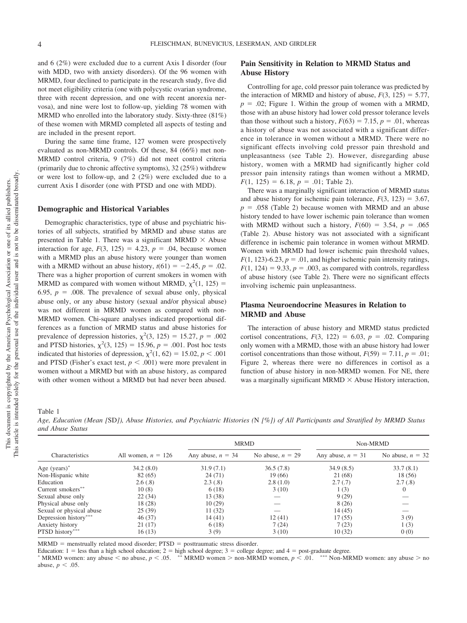and 6 (2%) were excluded due to a current Axis I disorder (four with MDD, two with anxiety disorders). Of the 96 women with MRMD, four declined to participate in the research study, five did not meet eligibility criteria (one with polycystic ovarian syndrome, three with recent depression, and one with recent anorexia nervosa), and nine were lost to follow-up, yielding 78 women with MRMD who enrolled into the laboratory study. Sixty-three (81%) of these women with MRMD completed all aspects of testing and are included in the present report.

During the same time frame, 127 women were prospectively evaluated as non-MRMD controls. Of these, 84 (66%) met non-MRMD control criteria, 9 (7%) did not meet control criteria (primarily due to chronic affective symptoms), 32 (25%) withdrew or were lost to follow-up, and 2 (2%) were excluded due to a current Axis I disorder (one with PTSD and one with MDD).

#### **Demographic and Historical Variables**

Demographic characteristics, type of abuse and psychiatric histories of all subjects, stratified by MRMD and abuse status are presented in Table 1. There was a significant MRMD  $\times$  Abuse interaction for age,  $F(3, 125) = 4.23$ ,  $p = .04$ , because women with a MRMD plus an abuse history were younger than women with a MRMD without an abuse history,  $t(61) = -2.45$ ,  $p = .02$ . There was a higher proportion of current smokers in women with MRMD as compared with women without MRMD,  $\chi^2(1, 125)$  = 6.95,  $p = 0.008$ . The prevalence of sexual abuse only, physical abuse only, or any abuse history (sexual and/or physical abuse) was not different in MRMD women as compared with non-MRMD women. Chi-square analyses indicated proportional differences as a function of MRMD status and abuse histories for prevalence of depression histories,  $\chi^2(3, 125) = 15.27$ ,  $p = .002$ and PTSD histories,  $\chi^2(3, 125) = 15.96$ ,  $p = .001$ . Post hoc tests indicated that histories of depression,  $\chi^2(1, 62) = 15.02$ ,  $p < .001$ and PTSD (Fisher's exact test,  $p < .001$ ) were more prevalent in women without a MRMD but with an abuse history, as compared with other women without a MRMD but had never been abused.

#### **Pain Sensitivity in Relation to MRMD Status and Abuse History**

Controlling for age, cold pressor pain tolerance was predicted by the interaction of MRMD and history of abuse,  $F(3, 125) = 5.77$ ,  $p = .02$ ; Figure 1. Within the group of women with a MRMD, those with an abuse history had lower cold pressor tolerance levels than those without such a history,  $F(63) = 7.15$ ,  $p = .01$ , whereas a history of abuse was not associated with a significant difference in tolerance in women without a MRMD. There were no significant effects involving cold pressor pain threshold and unpleasantness (see Table 2). However, disregarding abuse history, women with a MRMD had significantly higher cold pressor pain intensity ratings than women without a MRMD,  $F(1, 125) = 6.18, p = .01$ ; Table 2).

There was a marginally significant interaction of MRMD status and abuse history for ischemic pain tolerance,  $F(3, 123) = 3.67$ ,  $p = 0.058$  (Table 2) because women with MRMD and an abuse history tended to have lower ischemic pain tolerance than women with MRMD without such a history,  $F(60) = 3.54$ ,  $p = .065$ (Table 2). Abuse history was not associated with a significant difference in ischemic pain tolerance in women without MRMD. Women with MRMD had lower ischemic pain threshold values,  $F(1, 123)$ -6.23,  $p = .01$ , and higher ischemic pain intensity ratings,  $F(1, 124) = 9.33, p = .003$ , as compared with controls, regardless of abuse history (see Table 2). There were no significant effects involving ischemic pain unpleasantness.

#### **Plasma Neuroendocrine Measures in Relation to MRMD and Abuse**

The interaction of abuse history and MRMD status predicted cortisol concentrations,  $F(3, 122) = 6.03$ ,  $p = .02$ . Comparing only women with a MRMD, those with an abuse history had lower cortisol concentrations than those without,  $F(59) = 7.11$ ,  $p = .01$ ; Figure 2, whereas there were no differences in cortisol as a function of abuse history in non-MRMD women. For NE, there was a marginally significant MRMD  $\times$  Abuse History interaction,

Table 1

Characteristics All women,  $n = 126$ MRMD Non-MRMD Any abuse,  $n = 34$ No abuse,  $n = 29$ Any abuse,  $n = 31$  $= 31$  No abuse,  $n = 32$ Age (years)<sup>\*</sup> 34.2 (8.0) 31.9 (7.1) 36.5 (7.8) 34.9 (8.5) 33.7 (8.1) Non-Hispanic white 82 (65) 24 (71) 19 (66) 21 (68) 18 (56)<br>Education 2.6 (.8) 2.3 (.8) 2.8 (1.0) 2.7 (.7) 2.7 (.8) Education 2.6 (.8) 2.3 (.8) 2.3 (.8) 2.8 (1.0) 2.7 (.7) 2.7 (.8) Current smokers 10 (8) 6 (18) 3 (10) 1 (3) 0 Sexual abuse only  $22 (34)$  13 (38)  $-$  9 (29)  $-$ Physical abuse only 18 (28) 10 (29) — 8 (26) — 8 (26) Sexual or physical abuse 25 (39) 11 (32)  $-$  14 (45)  $-$ <br>Depression history<sup>\*\*\*</sup> 46 (37) 14 (41) 12 (41) 17 (55) 3 (9) Depression history \*\*\* 46 (37) 14 (41) 12 (41) 17 (55) 3 (9) Anxiety history 21 (17) 6 (18) 7 (24) 7 (23) 1 (3) PTSD history<sup>\*\*\*</sup> 16 (13) 3 (9) 3 (10) 10 (32) 0 (0)

*Age, Education (Mean [*SD*]), Abuse Histories, and Psychiatric Histories (*N *[%]) of All Participants and Stratified by MRMD Status and Abuse Status*

 $MRMD$  = menstrually related mood disorder;  $PTSD$  = posttraumatic stress disorder.

Education:  $1 =$  less than a high school education;  $2 =$  high school degree;  $3 =$  college degree; and  $4 =$ 

\* MRMD women: any abuse  $\lt$  no abuse,  $p \lt 0.05$ . <sup>\*\*</sup> MRMD women  $>$  non-MRMD women,  $p \lt 0.01$ . \*\*\* Non-MRMD women: any abuse  $>$  no abuse,  $p < .05$ .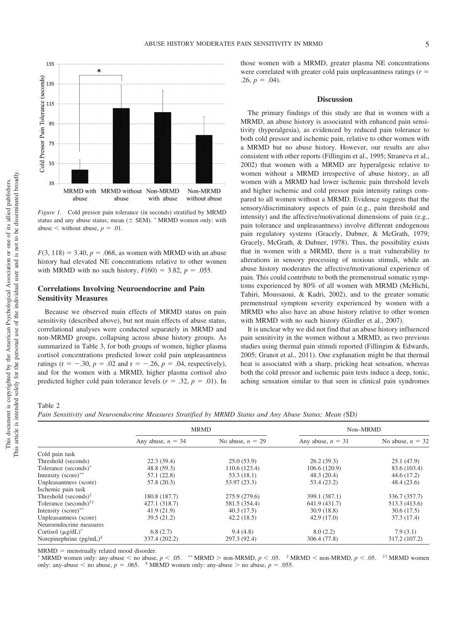

*Figure 1.* Cold pressor pain tolerance (in seconds) stratified by MRMD status and any abuse status; mean  $(\pm$  SEM).  $*$  MRMD women only: with abuse  $\lt$  without abuse,  $p = .01$ .

 $F(3, 118) = 3.40, p = .068$ , as women with MRMD with an abuse history had elevated NE concentrations relative to other women with MRMD with no such history,  $F(60) = 3.82$ ,  $p = .055$ .

#### **Correlations Involving Neuroendocrine and Pain Sensitivity Measures**

Because we observed main effects of MRMD status on pain sensitivity (described above), but not main effects of abuse status, correlational analyses were conducted separately in MRMD and non-MRMD groups, collapsing across abuse history groups. As summarized in Table 3, for both groups of women, higher plasma cortisol concentrations predicted lower cold pain unpleasantness ratings ( $r = -.30$ ,  $p = .02$  and  $r = -.26$ ,  $p = .04$ , respectively), and for the women with a MRMD, higher plasma cortisol also predicted higher cold pain tolerance levels  $(r = .32, p = .01)$ . In those women with a MRMD, greater plasma NE concentrations were correlated with greater cold pain unpleasantness ratings  $(r =$  $.26, p = .04$ .

#### **Discussion**

The primary findings of this study are that in women with a MRMD, an abuse history is associated with enhanced pain sensitivity (hyperalgesia), as evidenced by reduced pain tolerance to both cold pressor and ischemic pain, relative to other women with a MRMD but no abuse history. However, our results are also consistent with other reports (Fillingim et al., 1995; Straneva et al., 2002) that women with a MRMD are hyperalgesic relative to women without a MRMD irrespective of abuse history, as all women with a MRMD had lower ischemic pain threshold levels and higher ischemic and cold pressor pain intensity ratings compared to all women without a MRMD. Evidence suggests that the sensory/discriminatory aspects of pain (e.g., pain threshold and intensity) and the affective/motivational dimensions of pain (e.g., pain tolerance and unpleasantness) involve different endogenous pain regulatory systems (Gracely, Dubner, & McGrath, 1979; Gracely, McGrath, & Dubner, 1978). Thus, the possibility exists that in women with a MRMD, there is a trait vulnerability to alterations in sensory processing of noxious stimuli, while an abuse history moderates the affective/motivational experience of pain. This could contribute to both the premenstrual somatic symptoms experienced by 80% of all women with MRMD (McHichi, Tahiri, Moussaoui, & Kadri, 2002), and to the greater somatic premenstrual symptom severity experienced by women with a MRMD who also have an abuse history relative to other women with MRMD with no such history (Girdler et al., 2007).

It is unclear why we did not find that an abuse history influenced pain sensitivity in the women without a MRMD, as two previous studies using thermal pain stimuli reported (Fillingim & Edwards, 2005; Granot et al., 2011). One explanation might be that thermal heat is associated with a sharp, pricking heat sensation, whereas both the cold pressor and ischemic pain tests induce a deep, tonic, aching sensation similar to that seen in clinical pain syndromes

Table 2

*Pain Sensitivity and Neuroendocrine Measures Stratified by MRMD Status and Any Abuse Status; Mean (*SD*)*

|                                                              | <b>MRMD</b>         |                    | Non-MRMD            |                    |
|--------------------------------------------------------------|---------------------|--------------------|---------------------|--------------------|
|                                                              | Any abuse, $n = 34$ | No abuse, $n = 29$ | Any abuse, $n = 31$ | No abuse, $n = 32$ |
| Cold pain task                                               |                     |                    |                     |                    |
| Threshold (seconds)                                          | 22.3(39.4)          | 25.0(53.9)         | 26.2(39.3)          | 25.1(47.9)         |
| Tolerance (seconds)*                                         | 48.8 (59.3)         | 110.6(123.4)       | 106.6(120.9)        | 83.6 (103.4)       |
| Intensity (score)**                                          | 57.1 (22.8)         | 53.3(18.1)         | 48.3(20.4)          | 44.6 (17.2)        |
| Unpleasantness (score)                                       | 57.8 (20.3)         | 53.97 (23.3)       | 53.4 (23.2)         | 48.4(23.6)         |
| Ischemic pain task                                           |                     |                    |                     |                    |
| Threshold (seconds) $*$                                      | 180.8 (187.7)       | 275.9 (279.6)      | 399.1 (387.1)       | 336.7 (357.7)      |
| Tolerance (seconds) <sup><math>\ddagger\ddagger</math></sup> | 427.1 (318.7)       | 581.5 (354.4)      | 641.9 (431.7)       | 513.3 (413.6)      |
| Intensity (score)**                                          | 41.9(21.9)          | 40.3(17.5)         | 30.9(18.8)          | 30.6(17.5)         |
| Unpleasantness (score)                                       | 39.5(21.2)          | 42.2(18.5)         | 42.9(17.0)          | 37.3(17.4)         |
| Neuroendocrine measures                                      |                     |                    |                     |                    |
| Cortisol $(\mu g/dL)^*$                                      | 6.8(2.7)            | 9.4(4.8)           | 8.0(2.2)            | 7.9(3.1)           |
| Norepinephrine $(pg/mL)^{§}$                                 | 337.4 (202.2)       | 297.3 (92.4)       | 306.4 (77.8)        | 317.2 (107.2)      |

 $MRMD$  = menstrually related mood disorder.

\* MRMD women only: any-abuse  $\lt$  no abuse,  $p \lt 0.05$ . \*\* MRMD  $>$  non-MRMD,  $p \lt 0.05$ . \*\* MRMD,  $p \lt 0.05$ . \*\* MRMD women only: any-abuse  $\leq$  no abuse,  $p = 0.065$ . <sup>§</sup> MRMD women only: any-abuse  $>$  no abuse,  $p = 0.055$ .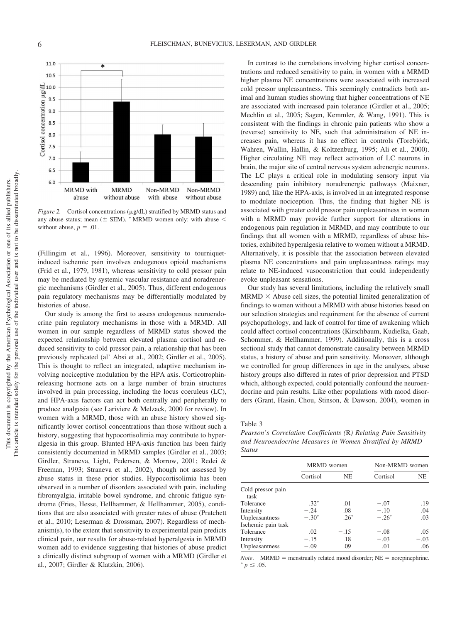

*Figure 2.* Cortisol concentrations (µg/dL) stratified by MRMD status and any abuse status; mean ( $\pm$  SEM).  $*$  MRMD women only: with abuse  $<$ without abuse,  $p = .01$ .

(Fillingim et al., 1996). Moreover, sensitivity to tourniquetinduced ischemic pain involves endogenous opioid mechanisms (Frid et al., 1979, 1981), whereas sensitivity to cold pressor pain may be mediated by systemic vascular resistance and noradrenergic mechanisms (Girdler et al., 2005). Thus, different endogenous pain regulatory mechanisms may be differentially modulated by histories of abuse.

Our study is among the first to assess endogenous neuroendocrine pain regulatory mechanisms in those with a MRMD. All women in our sample regardless of MRMD status showed the expected relationship between elevated plasma cortisol and reduced sensitivity to cold pressor pain, a relationship that has been previously replicated (al' Absi et al., 2002; Girdler et al., 2005). This is thought to reflect an integrated, adaptive mechanism involving nociceptive modulation by the HPA axis. Corticotrophinreleasing hormone acts on a large number of brain structures involved in pain processing, including the locus coeruleus (LC), and HPA-axis factors can act both centrally and peripherally to produce analgesia (see Lariviere & Melzack, 2000 for review). In women with a MRMD, those with an abuse history showed significantly lower cortisol concentrations than those without such a history, suggesting that hypocortisolimia may contribute to hyperalgesia in this group. Blunted HPA-axis function has been fairly consistently documented in MRMD samples (Girdler et al., 2003; Girdler, Straneva, Light, Pedersen, & Morrow, 2001; Redei & Freeman, 1993; Straneva et al., 2002), though not assessed by abuse status in these prior studies. Hypocortisolimia has been observed in a number of disorders associated with pain, including fibromyalgia, irritable bowel syndrome, and chronic fatigue syndrome (Fries, Hesse, Hellhammer, & Hellhammer, 2005), conditions that are also associated with greater rates of abuse (Pratchett et al., 2010; Leserman & Drossman, 2007). Regardless of mechanism(s), to the extent that sensitivity to experimental pain predicts clinical pain, our results for abuse-related hyperalgesia in MRMD women add to evidence suggesting that histories of abuse predict a clinically distinct subgroup of women with a MRMD (Girdler et al., 2007; Girdler & Klatzkin, 2006).

In contrast to the correlations involving higher cortisol concentrations and reduced sensitivity to pain, in women with a MRMD higher plasma NE concentrations were associated with increased cold pressor unpleasantness. This seemingly contradicts both animal and human studies showing that higher concentrations of NE are associated with increased pain tolerance (Girdler et al., 2005; Mechlin et al., 2005; Sagen, Kemmler, & Wang, 1991). This is consistent with the findings in chronic pain patients who show a (reverse) sensitivity to NE, such that administration of NE increases pain, whereas it has no effect in controls (Torebjörk, Wahren, Wallin, Hallin, & Koltzenburg, 1995; Ali et al., 2000). Higher circulating NE may reflect activation of LC neurons in brain, the major site of central nervous system adrenergic neurons. The LC plays a critical role in modulating sensory input via descending pain inhibitory noradrenergic pathways (Maixner, 1989) and, like the HPA-axis, is involved in an integrated response to modulate nociception. Thus, the finding that higher NE is associated with greater cold pressor pain unpleasantness in women with a MRMD may provide further support for alterations in endogenous pain regulation in MRMD, and may contribute to our findings that all women with a MRMD, regardless of abuse histories, exhibited hyperalgesia relative to women without a MRMD. Alternatively, it is possible that the association between elevated plasma NE concentrations and pain unpleasantness ratings may relate to NE-induced vasoconstriction that could independently evoke unpleasant sensations.

Our study has several limitations, including the relatively small  $MRMD \times$  Abuse cell sizes, the potential limited generalization of findings to women without a MRMD with abuse histories based on our selection strategies and requirement for the absence of current psychopathology, and lack of control for time of awakening which could affect cortisol concentrations (Kirschbaum, Kudielka, Gaab, Schommer, & Hellhammer, 1999). Additionally, this is a cross sectional study that cannot demonstrate causality between MRMD status, a history of abuse and pain sensitivity. Moreover, although we controlled for group differences in age in the analyses, abuse history groups also differed in rates of prior depression and PTSD which, although expected, could potentially confound the neuroendocrine and pain results. Like other populations with mood disorders (Grant, Hasin, Chou, Stinson, & Dawson, 2004), women in

#### Table 3

*Pearson's Correlation Coefficients (*R*) Relating Pain Sensitivity and Neuroendocrine Measures in Women Stratified by MRMD Status*

|                    | MRMD women |        | Non-MRMD women |        |
|--------------------|------------|--------|----------------|--------|
|                    | Cortisol   | NE.    | Cortisol       | NE     |
| Cold pressor pain  |            |        |                |        |
| task               |            |        |                |        |
| Tolerance          | $.32*$     | .01    | $-.07$         | .19    |
| Intensity          | $-.24$     | .08    | $-.10$         | .04    |
| Unpleasantness     | $-.30*$    | $.26*$ | $-.26*$        | .03    |
| Ischemic pain task |            |        |                |        |
| Tolerance          | .02        | $-.15$ | $-.08$         | .05    |
| Intensity          | $-.15$     | .18    | $-.03$         | $-.03$ |
| Unpleasantness     | $-.09$     | .09    | .01            | .06    |
|                    |            |        |                |        |

*Note.* MRMD = menstrually related mood disorder; NE = norepinephrine.  ${}^*p \leq .05$ .  $p \leq .05$ .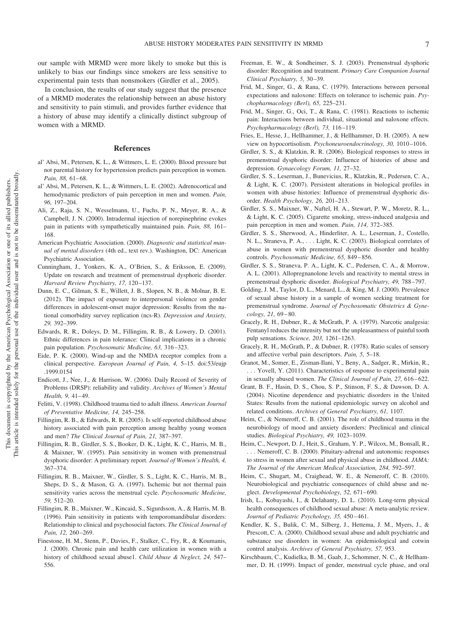our sample with MRMD were more likely to smoke but this is unlikely to bias our findings since smokers are less sensitive to experimental pain tests than nonsmokers (Girdler et al., 2005).

In conclusion, the results of our study suggest that the presence of a MRMD moderates the relationship between an abuse history and sensitivity to pain stimuli, and provides further evidence that a history of abuse may identify a clinically distinct subgroup of women with a MRMD.

#### **References**

- al' Absi, M., Petersen, K. L., & Wittmers, L. E. (2000). Blood pressure but not parental history for hypertension predicts pain perception in women. Pain, 88, 61-68.
- al' Absi, M., Petersen, K. L., & Wittmers, L. E. (2002). Adrenocortical and hemodynamic predictors of pain perception in men and women. *Pain, 96,* 197–204.
- Ali, Z., Raja, S. N., Wesselmann, U., Fuchs, P. N., Meyer, R. A., & Campbell, J. N. (2000). Intradermal injection of norepinephrine evokes pain in patients with sympathetically maintained pain. *Pain, 88,* 161– 168.
- American Psychiatric Association. (2000). *Diagnostic and statistical manual of mental disorders* (4th ed., text rev.). Washington, DC: American Psychiatric Association.
- Cunningham, J., Yonkers, K. A., O'Brien, S., & Eriksson, E. (2009). Update on research and treatment of premenstrual dysphoric disorder. *Harvard Review Psychiatry, 17,* 120 –137.
- Dunn, E. C., Gilman, S. E., Willett, J. B., Slopen, N. B., & Molnar, B. E. (2012). The impact of exposure to interpersonal violence on gender differences in adolescent-onset major depression: Results from the national comorbidity survey replication (ncs-R). *Depression and Anxiety, 29,* 392–399.
- Edwards, R. R., Doleys, D. M., Fillingim, R. B., & Lowery, D. (2001). Ethnic differences in pain tolerance: Clinical implications in a chronic pain population. *Psychosomatic Medicine, 63,* 316 –323.
- Eide, P. K. (2000). Wind-up and the NMDA receptor complex from a clinical perspective. *European Journal of Pain, 4,* 5–15. doi:53/eujp .1999.0154
- Endicott, J., Nee, J., & Harrison, W. (2006). Daily Record of Severity of Problems (DRSP): reliability and validity. *Archives of Women's Mental Health, 9,* 41– 49.
- Felitti, V. (1998). Childhood trauma tied to adult illness. *American Journal of Preventative Medicine, 14,* 245–258.
- Fillingim, R. B., & Edwards, R. R. (2005). Is self-reported childhood abuse history associated with pain perception among healthy young women and men? *The Clinical Journal of Pain, 21,* 387–397.
- Fillingim, R. B., Girdler, S. S., Booker, D. K., Light, K. C., Harris, M. B., & Maixner, W. (1995). Pain sensitivity in women with premenstrual dysphoric disorder: A preliminary report. *Journal of Women's Health, 4,* 367–374.
- Fillingim, R. B., Maixner, W., Girdler, S. S., Light, K. C., Harris, M. B., Sheps, D. S., & Mason, G. A. (1997). Ischemic but not thermal pain sensitivity varies across the menstrual cycle. *Psychosomatic Medicine, 59,* 512–20.
- Fillingim, R. B., Maixner, W., Kincaid, S., Sigurdsson, A., & Harris, M. B. (1996). Pain sensitivity in patients with temporomandibular disorders: Relationship to clinical and psychosocial factors. *The Clinical Journal of Pain, 12,* 260 –269.
- Finestone, H. M., Stenn, P., Davies, F., Stalker, C., Fry, R., & Koumanis, J. (2000). Chronic pain and health care utilization in women with a history of childhood sexual abuse1. *Child Abuse & Neglect, 24,* 547– 556.
- Freeman, E. W., & Sondheimer, S. J. (2003). Premenstrual dysphoric disorder: Recognition and treatment. *Primary Care Companion Journal Clinical Psychiatry, 5,* 30 –39.
- Frid, M., Singer, G., & Rana, C. (1979). Interactions between personal expectations and naloxone: Effects on tolerance to ischemic pain. *Psychopharmacology (Berl), 65,* 225–231.
- Frid, M., Singer, G., Oci, T., & Rana, C. (1981). Reactions to ischemic pain: Interactions between individual, situational and naloxone effects. *Psychopharmacology (Berl), 73,* 116 –119.
- Fries, E., Hesse, J., Hellhammer, J., & Hellhammer, D. H. (2005). A new view on hypocortisolism. *Psychoneuroendocrinology, 30,* 1010 –1016.
- Girdler, S. S., & Klatzkin, R. R. (2006). Biological responses to stress in premenstrual dysphoric disorder: Influence of histories of abuse and depression. *Gynaecology Forum, 11,* 27–32.
- Girdler, S. S., Leserman, J., Bunevicius, R., Klatzkin, R., Pedersen, C. A., & Light, K. C. (2007). Persistent alterations in biological profiles in women with abuse histories: Influence of premenstrual dysphoric disorder. *Health Psychology, 26,* 201–213.
- Girdler, S. S., Maixner, W., Naftel, H. A., Stewart, P. W., Moretz, R. L., & Light, K. C. (2005). Cigarette smoking, stress-induced analgesia and pain perception in men and women. *Pain, 114,* 372–385.
- Girdler, S. S., Sherwood, A., Hinderliter, A. L., Leserman, J., Costello, N. L., Straneva, P. A.,... Light, K. C. (2003). Biological correlates of abuse in women with premenstrual dysphoric disorder and healthy controls. *Psychosomatic Medicine, 65,* 849 – 856.
- Girdler, S. S., Straneva, P. A., Light, K. C., Pedersen, C. A., & Morrow, A. L. (2001). Allopregnanolone levels and reactivity to mental stress in premenstrual dysphoric disorder. *Biological Psychiatry, 49,* 788 –797.
- Golding, J. M., Taylor, D. L., Menard, L., & King, M. J. (2000). Prevalence of sexual abuse history in a sample of women seeking treatment for premenstrual syndrome. *Journal of Psychosomatic Obstetrics & Gynecology, 21,* 69 – 80.
- Gracely, R. H., Dubner, R., & McGrath, P. A. (1979). Narcotic analgesia: Fentanyl reduces the intensity but not the unpleasantness of painful tooth pulp sensations. *Science, 203,* 1261–1263.
- Gracely, R. H., McGrath, P., & Dubner, R. (1978). Ratio scales of sensory and affective verbal pain descriptors. *Pain, 5,* 5–18.
- Granot, M., Somer, E., Zisman-Ilani, Y., Beny, A., Sadger, R., Mirkin, R., . . . Yovell, Y. (2011). Characteristics of response to experimental pain in sexually abused women. *The Clinical Journal of Pain*, 27, 616-622.
- Grant, B. F., Hasin, D. S., Chou, S. P., Stinson, F. S., & Dawson, D. A. (2004). Nicotine dependence and psychiatric disorders in the United States: Results from the national epidemiologic survey on alcohol and related conditions. *Archives of General Psychiatry, 61,* 1107.
- Heim, C., & Nemeroff, C. B. (2001). The role of childhood trauma in the neurobiology of mood and anxiety disorders: Preclinical and clinical studies. *Biological Psychiatry, 49,* 1023–1039.
- Heim, C., Newport, D. J., Heit, S., Graham, Y. P., Wilcox, M., Bonsall, R., . . . Nemeroff, C. B. (2000). Pituitary-adrenal and autonomic responses to stress in women after sexual and physical abuse in childhood. *JAMA: The Journal of the American Medical Association, 284,* 592–597.
- Heim, C., Shugart, M., Craighead, W. E., & Nemeroff, C. B. (2010). Neurobiological and psychiatric consequences of child abuse and neglect. *Developmental Psychobiology, 52,* 671– 690.
- Irish, L., Kobayashi, I., & Delahanty, D. L. (2010). Long-term physical health consequences of childhood sexual abuse: A meta-analytic review. *Journal of Pediatric Psychology, 35,* 450 – 461.
- Kendler, K. S., Bulik, C. M., Silberg, J., Hettema, J. M., Myers, J., & Prescott, C. A. (2000). Childhood sexual abuse and adult psychiatric and substance use disorders in women: An epidemiological and cotwin control analysis. *Archives of General Psychiatry, 57,* 953.
- Kirschbaum, C., Kudielka, B. M., Gaab, J., Schommer, N. C., & Hellhammer, D. H. (1999). Impact of gender, menstrual cycle phase, and oral